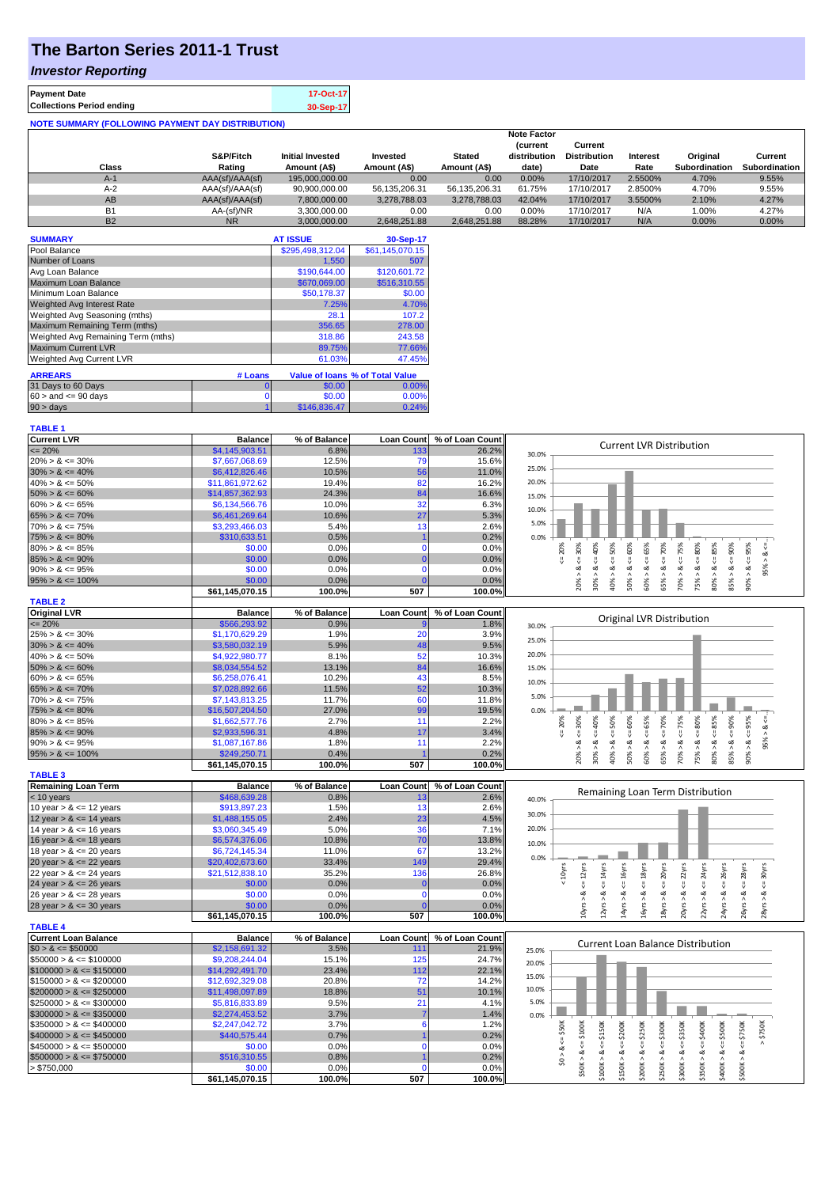# **The Barton Series 2011-1 Trust**

#### *Investor Reporting*

| <b>Payment Date</b>                                      | 17-Oct-17 |  |  |  |  |
|----------------------------------------------------------|-----------|--|--|--|--|
| <b>Collections Period ending</b>                         | 30-Sep-17 |  |  |  |  |
| <b>NOTE SUMMARY (FOLLOWING PAYMENT DAY DISTRIBUTION)</b> |           |  |  |  |  |

|              |                 |                         |               |               | <b>Note Factor</b> |                     |                 |                      |                      |
|--------------|-----------------|-------------------------|---------------|---------------|--------------------|---------------------|-----------------|----------------------|----------------------|
|              |                 |                         |               |               | <b>Current</b>     | Current             |                 |                      |                      |
|              | S&P/Fitch       | <b>Initial Invested</b> | Invested      | <b>Stated</b> | distribution       | <b>Distribution</b> | <b>Interest</b> | Original             | Current              |
| <b>Class</b> | Rating          | Amount (A\$)            | Amount (A\$)  | Amount (A\$)  | date)              | Date                | Rate            | <b>Subordination</b> | <b>Subordination</b> |
| $A-1$        | AAA(sf)/AAA(sf) | 195.000.000.00          | 0.00          | 0.00          | 0.00%              | 17/10/2017          | 2.5500%         | 4.70%                | 9.55%                |
| $A-2$        | AAA(sf)/AAA(sf) | 90,900,000.00           | 56.135.206.31 | 56.135.206.31 | 61.75%             | 17/10/2017          | 2.8500%         | 4.70%                | 9.55%                |
| AB           | AAA(sf)/AAA(sf) | 7.800.000.00            | 3.278.788.03  | 3.278.788.03  | 42.04%             | 17/10/2017          | 3.5500%         | 2.10%                | 4.27%                |
| <b>B1</b>    | AA-(sf)/NR      | 3,300,000.00            | 0.00          | 0.00          | $0.00\%$           | 17/10/2017          | N/A             | 1.00%                | 4.27%                |
| <b>B2</b>    | <b>NR</b>       | 3.000.000.00            | 2.648.251.88  | 2.648.251.88  | 88.28%             | 17/10/2017          | N/A             | 0.00%                | 0.00%                |

| <b>SUMMARY</b>                     |         | <b>AT ISSUE</b>  | 30-Sep-17                              |
|------------------------------------|---------|------------------|----------------------------------------|
| Pool Balance                       |         | \$295,498,312.04 | \$61,145,070.15                        |
| Number of Loans                    |         | 1.550            | 507                                    |
| Avg Loan Balance                   |         | \$190,644.00     | \$120,601.72                           |
| Maximum Loan Balance               |         | \$670,069.00     | \$516,310.55                           |
| Minimum Loan Balance               |         | \$50,178.37      | \$0.00                                 |
| <b>Weighted Avg Interest Rate</b>  |         | 7.25%            | 4.70%                                  |
| Weighted Avg Seasoning (mths)      |         | 28.1             | 107.2                                  |
| Maximum Remaining Term (mths)      |         | 356.65           | 278.00                                 |
| Weighted Avg Remaining Term (mths) |         | 318.86           | 243.58                                 |
| <b>Maximum Current LVR</b>         |         | 89.75%           | 77.66%                                 |
| Weighted Avg Current LVR           |         | 61.03%           | 47.45%                                 |
| <b>ARREARS</b>                     | # Loans |                  | <b>Value of loans % of Total Value</b> |

| <b>ARREARS</b>            | # Loans |              | <u>value of Joans % of Total value</u> |
|---------------------------|---------|--------------|----------------------------------------|
| 31 Days to 60 Days        |         | \$0.00       | $0.00\%$                               |
| $60 >$ and $\leq 90$ days |         | \$0.00       | 0.00%                                  |
| 90 > days                 |         | \$146,836.47 | 0.24%                                  |

| <b>TABLE 1</b>                             |                                   |                |                   |                 |                                                                                                                                                                                                                          |
|--------------------------------------------|-----------------------------------|----------------|-------------------|-----------------|--------------------------------------------------------------------------------------------------------------------------------------------------------------------------------------------------------------------------|
| <b>Current LVR</b>                         | <b>Balance</b>                    | % of Balance   | Loan Count        | % of Loan Count | <b>Current LVR Distribution</b>                                                                                                                                                                                          |
| $= 20%$                                    | \$4,145,903.51                    | 6.8%           | 133               | 26.2%           | 30.0%                                                                                                                                                                                                                    |
| $20\% > 8 \le 30\%$                        | \$7,667,068.69                    | 12.5%          | <b>79</b>         | 15.6%           |                                                                                                                                                                                                                          |
| $30\% > 8 \le 40\%$                        | \$6,412,826.46                    | 10.5%          | 56                | 11.0%           | 25.0%                                                                                                                                                                                                                    |
| $40\% > 8 \le 50\%$                        | \$11,861,972.62                   | 19.4%          | 82                | 16.2%           | 20.0%                                                                                                                                                                                                                    |
| $50\% > 8 \le 60\%$                        | \$14,857,362.93                   | 24.3%          | 84                | 16.6%           | 15.0%                                                                                                                                                                                                                    |
| $60\% > 8 \le 65\%$                        | \$6,134,566.76                    | 10.0%          | 32                | 6.3%            | 10.0%                                                                                                                                                                                                                    |
| $65\% > 8 \le 70\%$                        | \$6,461,269.64                    | 10.6%          | 27                | 5.3%            |                                                                                                                                                                                                                          |
| $70\% > 8 \le 75\%$                        | \$3,293,466.03                    | 5.4%           | 13                | 2.6%            | 5.0%                                                                                                                                                                                                                     |
| $75\% > 8 \le 80\%$                        | \$310,633.51                      | 0.5%           |                   | 0.2%            | 0.0%                                                                                                                                                                                                                     |
| $80\% > 8 \le 85\%$                        | \$0.00                            | 0.0%           | $\Omega$          | 0.0%            | $8 \le 60\%$<br>30%<br>50%<br>65%<br>70%<br>80%<br>20%<br>40%                                                                                                                                                            |
| $85\% > 8 \le 90\%$                        | \$0.00                            | 0.0%           | $\mathbf{0}$      | 0.0%            | $<=95\%$<br>ಷ<br>ι,<br>₩                                                                                                                                                                                                 |
| $90\% > 8 \le 95\%$                        | \$0.00                            | 0.0%           | $\mathbf 0$       | 0.0%            | 8 < 1<br>8 < 1<br>$<=$<br>95% ><br>જં<br>ઌૻ                                                                                                                                                                              |
| $95\% > 8 \le 100\%$                       | \$0.00                            | 0.0%           |                   | 0.0%            | $70\% > 8 \le 75\%$<br>$80\% > 8 <= 85\%$<br>$85\% > 8 \leq 90\%$<br>$65% > 8 < =$<br>50% ><br>75% ><br>20% ><br>$30\% >$<br>40% ><br>60% ><br>90% >                                                                     |
|                                            | \$61,145,070.15                   | 100.0%         | 507               | 100.0%          |                                                                                                                                                                                                                          |
| <b>TABLE 2</b>                             |                                   |                |                   |                 |                                                                                                                                                                                                                          |
| <b>Original LVR</b>                        | <b>Balance</b>                    | % of Balance   | <b>Loan Count</b> | % of Loan Count |                                                                                                                                                                                                                          |
| $= 20%$                                    | \$566,293.92                      | 0.9%           |                   | 1.8%            | <b>Original LVR Distribution</b><br>30.0%                                                                                                                                                                                |
| $25\% > 8 \le 30\%$                        | \$1,170,629.29                    | 1.9%           | 20                | 3.9%            |                                                                                                                                                                                                                          |
| $30\% > 8 \le 40\%$                        | \$3,580,032.19                    | 5.9%           | 48                | 9.5%            | 25.0%                                                                                                                                                                                                                    |
| $40\% > 8 \le 50\%$                        | \$4,922,980.77                    | 8.1%           | 52                | 10.3%           | 20.0%                                                                                                                                                                                                                    |
| $50\% > 8 \le 60\%$                        | \$8,034,554.52                    | 13.1%          | 84                | 16.6%           | 15.0%                                                                                                                                                                                                                    |
| $60\% > 8 \le 65\%$                        | \$6,258,076.41                    | 10.2%          | 43                | 8.5%            |                                                                                                                                                                                                                          |
| $65\% > 8 \le 70\%$                        | \$7,028,892.66                    | 11.5%          | 52                | 10.3%           | 10.0%                                                                                                                                                                                                                    |
| $70\% > 8 \le 75\%$                        | \$7,143,813.25                    | 11.7%          | 60                | 11.8%           | 5.0%                                                                                                                                                                                                                     |
| $75\% > 8 \le 80\%$                        |                                   | 27.0%          | 99                | 19.5%           | 0.0%                                                                                                                                                                                                                     |
| $80\% > 8 \le 85\%$                        | \$16,507,204.50<br>\$1,662,577.76 | 2.7%           | 11                | 2.2%            |                                                                                                                                                                                                                          |
|                                            |                                   |                |                   |                 | $4 = 30\%$<br>$8 < = 75\%$<br>$<=85\%$<br>$8 \le 90\%$<br>$<=95\%$<br>20%<br>$<< = 40\%$<br>$8 \le 50\%$<br>$8 - 60%$<br>$845 - 70\%$<br>$<=80\%$<br><< 65%<br>ઌૻ                                                        |
| $85\% > 8 \le 90\%$<br>$90\% > 8 \le 95\%$ | \$2,933,596.31                    | 4.8%<br>1.8%   | 17<br>11          | 3.4%            | 쁬<br>95% ><br>ಷ<br>ಷ<br>ಹ                                                                                                                                                                                                |
|                                            | \$1,087,167.86                    |                |                   | 2.2%            |                                                                                                                                                                                                                          |
| $95\% > 8 \le 100\%$                       | \$249,250.71                      | 0.4%           | 507               | 0.2%            | 80% ><br>20% ><br>40% ><br>50% ><br>65% ><br>70% ><br>75% ><br>85% ><br>$90\%$<br>$30\%$ $>$<br>60% >                                                                                                                    |
|                                            | \$61,145,070.15                   | 100.0%         |                   | 100.0%          |                                                                                                                                                                                                                          |
| <b>TABLE 3</b>                             |                                   |                |                   |                 |                                                                                                                                                                                                                          |
| <b>Remaining Loan Term</b>                 | <b>Balance</b>                    | % of Balance   | <b>Loan Count</b> | % of Loan Count | Remaining Loan Term Distribution                                                                                                                                                                                         |
| < 10 years                                 | \$468,639.28                      | 0.8%           | 13                | 2.6%            | 40.0%                                                                                                                                                                                                                    |
| 10 year $> 8 \le 12$ years                 | \$913,897.23                      | 1.5%           | 13                | 2.6%            | 30.0%                                                                                                                                                                                                                    |
| 12 year $> 8 \le 14$ years                 | \$1,488,155.05                    | 2.4%           | 23                | 4.5%            |                                                                                                                                                                                                                          |
| 14 year $> 8 \le 16$ years                 | \$3,060,345.49                    | 5.0%           | 36                | 7.1%            | 20.0%                                                                                                                                                                                                                    |
| 16 year $> 8 \le 18$ years                 | \$6,574,376.06                    | 10.8%          | 70                | 13.8%           | 10.0%                                                                                                                                                                                                                    |
| 18 year $> 8 \le 20$ years                 | \$6,724,145.34                    | 11.0%          | 67                | 13.2%           | 0.0%                                                                                                                                                                                                                     |
| 20 year $> 8 \le 22$ years                 | \$20,402,673.60                   | 33.4%          | 149               | 29.4%           |                                                                                                                                                                                                                          |
| 22 year $> 8 \le 24$ years                 | \$21,512,838.10                   | 35.2%          | 136               | 26.8%           | $\leq 16$ yrs<br>$\leq$ 18 $y$ rs<br>$\leq$ 20 $yrs$<br>$\leq$ = 22 $\gamma$ rs<br>$\leq 12$ yrs<br>$\leq 14$ yrs<br>$< 10$ yrs<br>$\leq$ = 24yrs<br>$\epsilon$ = 28yrs<br>$\leq$ = 30 $\gamma$ rs<br>$\epsilon$ = 26yrs |
| 24 year $> 8 \le 26$ years                 | \$0.00                            | 0.0%           | C                 | 0.0%            |                                                                                                                                                                                                                          |
| 26 year $> 8 \le 28$ years                 | \$0.00                            | 0.0%           | $\mathbf{0}$      | 0.0%            |                                                                                                                                                                                                                          |
| 28 year $> 8 \le 30$ years                 | \$0.00                            | 0.0%           |                   | 0.0%            | 8yrs > 8<br>20yrs > 8<br>$10 \gamma$ rs > & -<br>$12\gamma rs > 8$<br>14yrs > 8<br>$8 <$ s.<br>Ars<br>$22\gamma rs > 8.$<br>24yrs > 8<br>26yrs > 8<br>$28$ yrs > &                                                       |
|                                            | \$61,145,070.15                   | 100.0%         | 507               | 100.0%          |                                                                                                                                                                                                                          |
| <b>TABLE 4</b>                             |                                   |                |                   |                 |                                                                                                                                                                                                                          |
| <b>Current Loan Balance</b>                | <b>Balance</b>                    | % of Balance   | <b>Loan Count</b> | % of Loan Count | <b>Current Loan Balance Distribution</b>                                                                                                                                                                                 |
| $$0 > 8 \leq $50000$                       | \$2,158,691.32                    | 3.5%           | 111               | 21.9%           | 25.0%                                                                                                                                                                                                                    |
| $$50000 > 8 \le $100000$                   | \$9,208,244.04                    | 15.1%          | 125               | 24.7%           | 20.0%                                                                                                                                                                                                                    |
| $$100000 > 8 \leq $150000$                 | \$14,292,491.70                   | 23.4%          | 112               | 22.1%           | 15.0%                                                                                                                                                                                                                    |
| $$150000 > 8 \leq $200000$                 | \$12,692,329.08                   | 20.8%          | 72                | 14.2%           |                                                                                                                                                                                                                          |
| $$200000 > 8 \leq $250000$                 | \$11,498,097.89                   | 18.8%          | 51                | 10.1%           | 10.0%                                                                                                                                                                                                                    |
| $$250000 > 8 \leq $300000$                 | \$5,816,833.89                    | 9.5%           | 21                | 4.1%            | 5.0%                                                                                                                                                                                                                     |
| $$300000 > 8 \leq $350000$                 | \$2,274,453.52                    | 3.7%           | 7                 | 1.4%            | 0.0%                                                                                                                                                                                                                     |
| $$350000 > 8 \leq $400000$                 | \$2,247,042.72                    | 3.7%           | $6\phantom{1}6$   | 1.2%            |                                                                                                                                                                                                                          |
| $$400000 > 8 \leq $450000$                 | \$440,575.44                      | 0.7%           |                   | 0.2%            | $\le$ $5100K$<br>> \$750K                                                                                                                                                                                                |
| $$450000 > 8 \leq $500000$                 | \$0.00                            | 0.0%           | $\Omega$          | 0.0%            |                                                                                                                                                                                                                          |
|                                            | \$516,310.55                      | 0.8%           |                   | 0.2%            | $$0 > 8 <= $50K$$                                                                                                                                                                                                        |
|                                            |                                   |                |                   |                 |                                                                                                                                                                                                                          |
| $$500000 > 8 \leq $750000$                 |                                   |                | $\Omega$          |                 |                                                                                                                                                                                                                          |
| > \$750,000                                | \$0.00<br>\$61,145,070.15         | 0.0%<br>100.0% | 507               | 0.0%<br>100.0%  | $$100K > 8 \leq 5150K$<br>$$150K > 8 \le = $200K$<br>$$200K > 8 \le = $250K$<br>$$250K > 8 <= $300K$<br>$$300K > 8 \le = $350K$<br>$$350K > 8 <= $400K$<br>$$500K > 8 <= $750K$<br>$$400K > 8 <= $500K$<br>\$50K > 8     |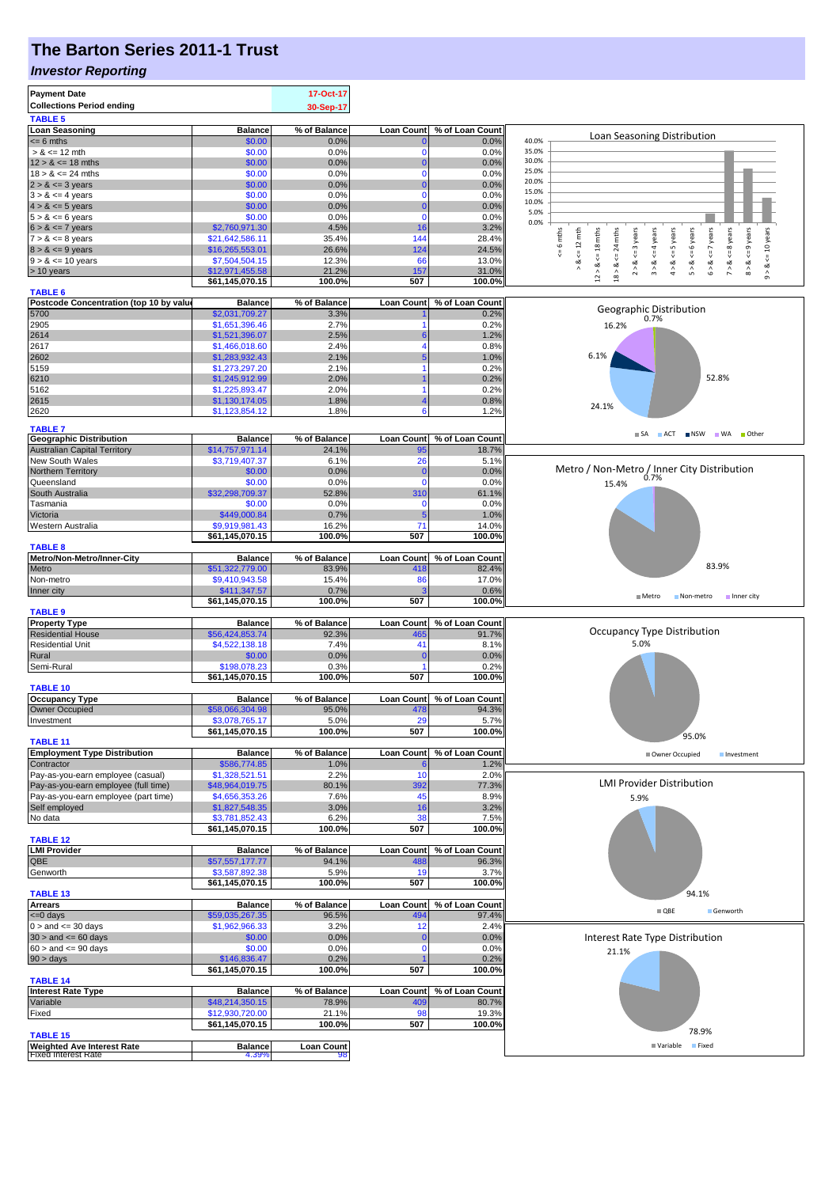## **The Barton Series 2011-1 Trust**

### *Investor Reporting*

| <b>Payment Date</b>                                             |                                   | 17-Oct-17         |                             |                            |                                                                                                                                                                     |
|-----------------------------------------------------------------|-----------------------------------|-------------------|-----------------------------|----------------------------|---------------------------------------------------------------------------------------------------------------------------------------------------------------------|
| <b>Collections Period ending</b>                                |                                   | 30-Sep-17         |                             |                            |                                                                                                                                                                     |
| <b>TABLE 5</b>                                                  |                                   |                   |                             |                            |                                                                                                                                                                     |
| <b>Loan Seasoning</b>                                           | <b>Balance</b>                    | % of Balance      | <b>Loan Count</b>           | % of Loan Count            | Loan Seasoning Distribution                                                                                                                                         |
| $= 6$ mths                                                      | \$0.00                            | 0.0%<br>0.0%      | $\mathbf{0}$<br>$\mathbf 0$ | 0.0%<br>0.0%               | 40.0%<br>35.0%                                                                                                                                                      |
| $> 8 \le 12$ mth<br>$12 > 8 \le 18$ mths                        | \$0.00<br>\$0.00                  | 0.0%              | $\mathbf{0}$                | 0.0%                       | 30.0%                                                                                                                                                               |
| $18 > 8 \le 24$ mths                                            | \$0.00                            | 0.0%              | $\mathbf 0$                 | 0.0%                       | 25.0%                                                                                                                                                               |
| $2 > 8 \le 3$ years                                             | \$0.00                            | 0.0%              | $\bf{0}$                    | 0.0%                       | 20.0%                                                                                                                                                               |
| $3 > 8 \le 4$ years                                             | \$0.00                            | 0.0%              | $\Omega$                    | 0.0%                       | 15.0%                                                                                                                                                               |
| $4 > 8 \le 5$ years                                             | \$0.00                            | 0.0%              | $\Omega$                    | 0.0%                       | 10.0%<br>5.0%                                                                                                                                                       |
| $5 > 8 \le 6$ years                                             | \$0.00                            | 0.0%              | $\mathbf 0$                 | 0.0%                       | 0.0%                                                                                                                                                                |
| $6 > 8 \le 7$ years                                             | \$2,760,971.30                    | 4.5%              | 16                          | 3.2%                       | mths<br>years<br>mths                                                                                                                                               |
| $7 > 8 \le 8$ years                                             | \$21,642,586.11                   | 35.4%             | 144                         | 28.4%                      | $\leq 12$ mth<br>$\leq 6$ years<br>$<=8$ years<br>$<= 9$ years<br>24 mths<br>$\leq 4$ years<br>$\leq 10$ years<br>$\circ$                                           |
| $8 > 8 \le 9$ years<br>$9 > 8 \le 10$ years                     | \$16,265,553.01<br>\$7,504,504.15 | 26.6%<br>12.3%    | 124<br>66                   | 24.5%<br>13.0%             | $5 = 18$<br>ű                                                                                                                                                       |
| > 10 years                                                      | \$12,971,455.58                   | 21.2%             | 157                         | 31.0%                      | $2 > 8 < = 3$ years<br>$4 > 8 \leq S$ years<br>$6 > 8 <= 7$<br>$<=$<br>⊗<br>∧<br>∝<br>5 > 8<br>ಹ<br>$9 - 8$<br>$\hat{z}$<br>$\stackrel{\wedge}{\circ}$<br>$\hat{3}$ |
|                                                                 | \$61,145,070.15                   | 100.0%            | 507                         | 100.0%                     | $18 >$<br>$_{12}^{\circ}$                                                                                                                                           |
| <b>TABLE 6</b>                                                  |                                   |                   |                             |                            |                                                                                                                                                                     |
| Postcode Concentration (top 10 by value                         | <b>Balance</b>                    | % of Balance      | <b>Loan Count</b>           | % of Loan Count            | Geographic Distribution                                                                                                                                             |
| 5700                                                            | \$2,031,709.27                    | 3.3%              |                             | 0.2%                       | 0.7%                                                                                                                                                                |
| 2905                                                            | \$1,651,396.46                    | 2.7%              | -1                          | 0.2%                       | 16.2%                                                                                                                                                               |
| 2614<br>2617                                                    | \$1,521,396.07<br>\$1,466,018.60  | 2.5%<br>2.4%      | 6<br>4                      | 1.2%<br>0.8%               |                                                                                                                                                                     |
| 2602                                                            | \$1,283,932.43                    | 2.1%              |                             | 1.0%                       | 6.1%                                                                                                                                                                |
| 5159                                                            | \$1,273,297.20                    | 2.1%              |                             | 0.2%                       |                                                                                                                                                                     |
| 6210                                                            | \$1,245,912.99                    | 2.0%              |                             | 0.2%                       | 52.8%                                                                                                                                                               |
| 5162                                                            | \$1,225,893.47                    | 2.0%              |                             | 0.2%                       |                                                                                                                                                                     |
| 2615                                                            | \$1,130,174.05                    | 1.8%              |                             | 0.8%                       | 24.1%                                                                                                                                                               |
| 2620                                                            | \$1,123,854.12                    | 1.8%              | 6                           | 1.2%                       |                                                                                                                                                                     |
| <b>TABLE 7</b>                                                  |                                   |                   |                             |                            |                                                                                                                                                                     |
| <b>Geographic Distribution</b>                                  | <b>Balance</b>                    | % of Balance      | <b>Loan Count</b>           | % of Loan Count            | SA ACT NSW WA Other                                                                                                                                                 |
| <b>Australian Capital Territory</b>                             | \$14,757,971.14                   | 24.1%             | 95                          | 18.7%                      |                                                                                                                                                                     |
| New South Wales                                                 | \$3,719,407.37                    | 6.1%              | 26                          | 5.1%                       |                                                                                                                                                                     |
| Northern Territory                                              | \$0.00                            | 0.0%              | $\mathbf{0}$                | 0.0%                       | Metro / Non-Metro / Inner City Distribution<br>0.7%                                                                                                                 |
| Queensland<br>South Australia                                   | \$0.00                            | 0.0%              | $\mathbf 0$                 | 0.0%                       | 15.4%                                                                                                                                                               |
| Tasmania                                                        | \$32,298,709.37<br>\$0.00         | 52.8%<br>0.0%     | 310<br>$\mathbf 0$          | 61.1%<br>0.0%              |                                                                                                                                                                     |
| Victoria                                                        | \$449,000.84                      | 0.7%              | 5                           | 1.0%                       |                                                                                                                                                                     |
| Western Australia                                               | \$9,919,981.43                    | 16.2%             | 71                          | 14.0%                      |                                                                                                                                                                     |
|                                                                 | \$61,145,070.15                   | 100.0%            | 507                         | 100.0%                     |                                                                                                                                                                     |
| <b>TABLE 8</b>                                                  |                                   |                   |                             |                            |                                                                                                                                                                     |
| Metro/Non-Metro/Inner-City                                      | <b>Balance</b>                    | % of Balance      | <b>Loan Count</b>           | % of Loan Count            | 83.9%                                                                                                                                                               |
| Metro                                                           | \$51,322,779.00                   | 83.9%             | 418                         | 82.4%                      |                                                                                                                                                                     |
| Non-metro<br>Inner city                                         | \$9,410,943.58                    | 15.4%<br>0.7%     | 86                          | 17.0%<br>0.6%              |                                                                                                                                                                     |
|                                                                 | \$411,347.57<br>\$61,145,070.15   | 100.0%            | 507                         | 100.0%                     | Metro<br>Non-metro<br>Inner city                                                                                                                                    |
| <b>TABLE 9</b>                                                  |                                   |                   |                             |                            |                                                                                                                                                                     |
| <b>Property Type</b>                                            | <b>Balance</b>                    | % of Balance      |                             | Loan Count % of Loan Count |                                                                                                                                                                     |
| <b>Residential House</b>                                        | \$56,424,853.74                   | 92.3%             | 465                         | 91.7%                      | Occupancy Type Distribution                                                                                                                                         |
| <b>Residential Unit</b>                                         | \$4,522,138.18                    | 7.4%              | 41                          | 8.1%                       | 5.0%                                                                                                                                                                |
| Rural<br>Semi-Rural                                             | \$0.00<br>\$198,078.23            | 0.0%<br>0.3%      | $\overline{0}$              | 0.0%<br>0.2%               |                                                                                                                                                                     |
|                                                                 | \$61,145,070.15                   | 100.0%            | 507                         | 100.0%                     |                                                                                                                                                                     |
| <b>TABLE 10</b>                                                 |                                   |                   |                             |                            |                                                                                                                                                                     |
| <b>Occupancy Type</b>                                           | <b>Balance</b>                    | % of Balance      |                             | Loan Count % of Loan Count |                                                                                                                                                                     |
| Owner Occupied                                                  | \$58,066,304.98                   | 95.0%             | 478                         | 94.3%                      |                                                                                                                                                                     |
| Investment                                                      | \$3,078,765.17                    | $5.0\%$           |                             | 5.7%                       |                                                                                                                                                                     |
|                                                                 | \$61,145,070.15                   | 100.0%            | 507                         | 100.0%                     | 95.0%                                                                                                                                                               |
| <b>TABLE 11</b><br><b>Employment Type Distribution</b>          | <b>Balance</b>                    | % of Balance      | <b>Loan Count</b>           | % of Loan Count            | Owner Occupied<br>Investment                                                                                                                                        |
| Contractor                                                      | \$586,774.85                      | 1.0%              |                             | 1.2%                       |                                                                                                                                                                     |
| Pay-as-you-earn employee (casual)                               | \$1,328,521.51                    | 2.2%              | 10                          | 2.0%                       |                                                                                                                                                                     |
| Pay-as-you-earn employee (full time)                            | \$48,964,019.75                   | 80.1%             | 392                         | 77.3%                      | <b>LMI Provider Distribution</b>                                                                                                                                    |
| Pay-as-you-earn employee (part time)                            | \$4,656,353.26                    | 7.6%              | 45                          | 8.9%                       | 5.9%                                                                                                                                                                |
| Self employed                                                   | \$1,827,548.35                    | 3.0%              | 16                          | 3.2%                       |                                                                                                                                                                     |
| No data                                                         | \$3,781,852.43<br>\$61,145,070.15 | 6.2%<br>100.0%    | 38<br>507                   | 7.5%<br>100.0%             |                                                                                                                                                                     |
| <b>TABLE 12</b>                                                 |                                   |                   |                             |                            |                                                                                                                                                                     |
| <b>LMI Provider</b>                                             | <b>Balance</b>                    | % of Balance      |                             | Loan Count % of Loan Count |                                                                                                                                                                     |
| QBE                                                             | \$57,557,177.77                   | 94.1%             | 488                         | 96.3%                      |                                                                                                                                                                     |
| Genworth                                                        | \$3,587,892.38                    | 5.9%              | 19                          | 3.7%                       |                                                                                                                                                                     |
| TABLE <sub>13</sub>                                             | \$61,145,070.15                   | 100.0%            | 507                         | 100.0%                     |                                                                                                                                                                     |
| <b>Arrears</b>                                                  | <b>Balance</b>                    | % of Balance      | <b>Loan Count</b>           | % of Loan Count            | 94.1%                                                                                                                                                               |
| <= 0 days                                                       | \$59,035,267.35                   | 96.5%             | 494                         | 97.4%                      | $\blacksquare$ QBE<br>Genworth                                                                                                                                      |
| $0 >$ and $\leq$ 30 days                                        | \$1,962,966.33                    | 3.2%              | 12                          | 2.4%                       |                                                                                                                                                                     |
| $30 >$ and $\leq 60$ days                                       | \$0.00                            | 0.0%              | $\mathbf{0}$                | 0.0%                       | Interest Rate Type Distribution                                                                                                                                     |
| $60 >$ and $\leq 90$ days                                       | \$0.00                            | 0.0%              | $\mathbf 0$                 | 0.0%                       | 21.1%                                                                                                                                                               |
| 90 > days                                                       | \$146,836.47                      | 0.2%              |                             | 0.2%                       |                                                                                                                                                                     |
|                                                                 | \$61,145,070.15                   | 100.0%            | 507                         | 100.0%                     |                                                                                                                                                                     |
| <b>TABLE 14</b><br>Interest Rate Type                           | <b>Balance</b>                    | % of Balance      | <b>Loan Count</b>           | % of Loan Count            |                                                                                                                                                                     |
| Variable                                                        | \$48,214,350.15                   | 78.9%             | 409                         | 80.7%                      |                                                                                                                                                                     |
| Fixed                                                           | \$12,930,720.00                   | 21.1%             | 98                          | 19.3%                      |                                                                                                                                                                     |
|                                                                 | \$61,145,070.15                   | 100.0%            | 507                         | 100.0%                     |                                                                                                                                                                     |
| <b>TABLE 15</b>                                                 |                                   |                   |                             |                            | 78.9%                                                                                                                                                               |
| <b>Weighted Ave Interest Rate</b><br><b>Fixed Interest Rate</b> | <b>Balance</b><br>4.39%           | <b>Loan Count</b> |                             |                            | Fixed<br>■ Variable                                                                                                                                                 |
|                                                                 |                                   | 98                |                             |                            |                                                                                                                                                                     |